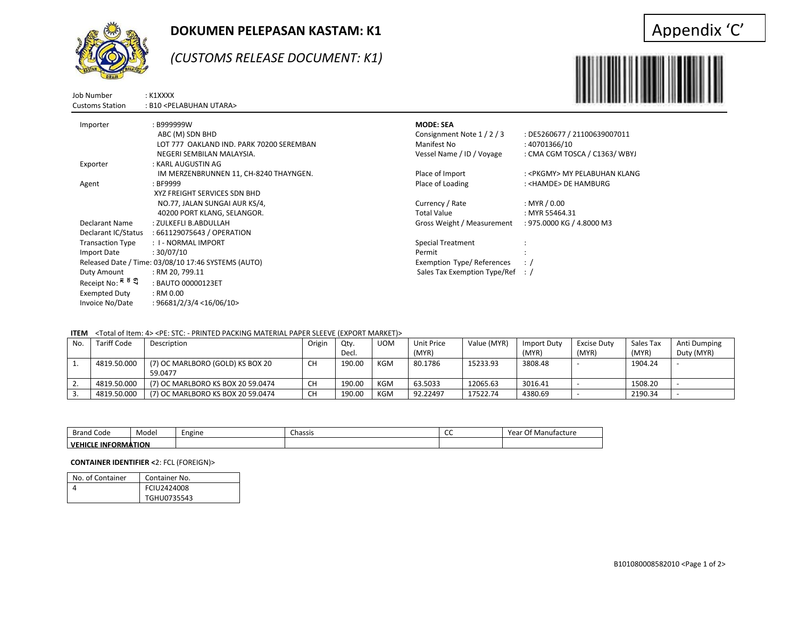

Job Number : K1XXXX

## **DOKUMEN PELEPASAN KASTAM: K1**

# *(CUSTOMS RELEASE DOCUMENT: K1)*

# Appendix 'C'



| <b>Customs Station</b>       | : B10 <pelabuhan utara=""></pelabuhan>              |                                  | .                                    |
|------------------------------|-----------------------------------------------------|----------------------------------|--------------------------------------|
| Importer                     | : B999999W                                          | <b>MODE: SEA</b>                 |                                      |
|                              | ABC (M) SDN BHD                                     | Consignment Note 1/2/3           | : DE5260677 / 21100639007011         |
|                              | LOT 777 OAKLAND IND. PARK 70200 SEREMBAN            | Manifest No                      | : 40701366/10                        |
|                              | NEGERI SEMBILAN MALAYSIA.                           | Vessel Name / ID / Voyage        | : CMA CGM TOSCA / C1363/ WBYJ        |
| Exporter                     | : KARL AUGUSTIN AG                                  |                                  |                                      |
|                              | IM MERZENBRUNNEN 11, CH-8240 THAYNGEN.              | Place of Import                  | : <pkgmy> MY PELABUHAN KLANG</pkgmy> |
| Agent                        | : BF9999                                            | Place of Loading                 | : <hamde> DE HAMBURG</hamde>         |
|                              | XYZ FREIGHT SERVICES SDN BHD                        |                                  |                                      |
|                              | NO.77, JALAN SUNGAI AUR KS/4,                       | Currency / Rate                  | : MYR $/ 0.00$                       |
|                              | 40200 PORT KLANG, SELANGOR.                         | <b>Total Value</b>               | : MYR 55464.31                       |
| Declarant Name               | : ZULKEFLI B.ABDULLAH                               | Gross Weight / Measurement       | : 975.0000 KG / 4.8000 M3            |
| Declarant IC/Status          | : 661129075643 / OPERATION                          |                                  |                                      |
| <b>Transaction Type</b>      | : I - NORMAL IMPORT                                 | <b>Special Treatment</b>         |                                      |
| Import Date                  | :30/07/10                                           | Permit                           |                                      |
|                              | Released Date / Time: 03/08/10 17:46 SYSTEMS (AUTO) | Exemption Type/References        |                                      |
| Duty Amount                  | : RM 20, 799.11                                     | Sales Tax Exemption Type/Ref : / |                                      |
| Receipt No: <sup>등 봉</sup> 의 | : BAUTO 00000123ET                                  |                                  |                                      |
| <b>Exempted Duty</b>         | : RM 0.00                                           |                                  |                                      |
| Invoice No/Date              | : 96681/2/3/4 < 16/06/10                            |                                  |                                      |

#### **ITEM** <Total of Item: 4> <PE: STC: - PRINTED PACKING MATERIAL PAPER SLEEVE (EXPORT MARKET)>

| No. | <b>Tariff Code</b> | Description                                 | Origin    | Qtv.   | <b>UOM</b> | <b>Unit Price</b> | Value (MYR) | Import Duty | Excise Duty | Sales Tax | Anti Dumping |
|-----|--------------------|---------------------------------------------|-----------|--------|------------|-------------------|-------------|-------------|-------------|-----------|--------------|
|     |                    |                                             |           | Decl.  |            | (MYR)             |             | (MYR)       | (MYR)       | (MYR)     | Duty (MYR)   |
|     | 4819.50.000        | (7) OC MARLBORO (GOLD) KS BOX 20<br>59.0477 | СH        | 190.00 | <b>KGM</b> | 80.1786           | 15233.93    | 3808.48     |             | 1904.24   |              |
| ۷.  | 4819.50.000        | (7) OC MARLBORO KS BOX 20 59.0474           | СH        | 190.00 | <b>KGM</b> | 63.5033           | 12065.63    | 3016.41     |             | 1508.20   |              |
|     | 4819.50.000        | (7) OC MARLBORO KS BOX 20 59.0474           | <b>CH</b> | 190.00 | <b>KGM</b> | 92.22497          | 17522.74    | 4380.69     |             | 2190.34   |              |

| <b>Brand Code</b>                              | Model | Engine | Chassis | - -<br>ิ | $\mathcal{L}_{\mathbf{a}}$<br>.<br>Vlanutactur<br>'ed<br>ີ |
|------------------------------------------------|-------|--------|---------|----------|------------------------------------------------------------|
| <b>FORMATION</b><br><b>VEHIC</b><br><b>INF</b> |       |        |         |          |                                                            |

#### **CONTAINER IDENTIFIER <**2: FCL (FOREIGN)>

| No. of Container | Container No. |
|------------------|---------------|
|                  | FCIU2424008   |
|                  | TGHU0735543   |